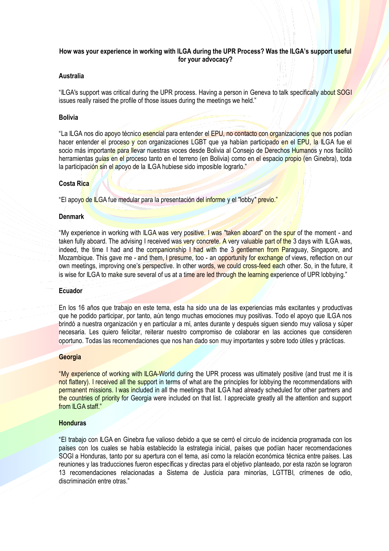# **How was your experience in working with ILGA during the UPR Process? Was the ILGA's support useful for your advocacy?**

# **Australia**

"ILGA's support was critical during the UPR process. Having a person in Geneva to talk specifically about SOGI issues really raised the profile of those issues during the meetings we held."

#### **Bolivia**

"La ILGA nos dio apoyo técnico esencial para entender el EPU, no contacto con organizaciones que nos podían hacer entender el proceso y con organizaciones LGBT que ya habían participado en el EPU, la ILGA fue el socio más importante para llevar nuestras voces desde Bolivia al Consejo de Derechos Humanos y nos facilitó herramientas guías en el proceso tanto en el terreno (en Bolivia) como en el espacio propio (en Ginebra), toda la participación sin el apoyo de la ILGA hubiese sido imposible lograrlo."

# **Costa Rica**

"El apoyo de ILGA fue medular para la presentación del informe y el "lobby" previo."

### **Denmark**

"My experience in working with ILGA was very positive. I was "taken aboard" on the spur of the moment - and taken fully aboard. The advising I received was very concrete. A very valuable part of the 3 days with ILGA was, indeed, the time I had and the companionship I had with the 3 gentlemen from Paraguay, Singapore, and Mozambique. This gave me - and them, I presume, too - an opportunity for exchange of views, reflection on our own meetings, improving one's perspective. In other words, we could cross-feed each other. So, in the future, it is wise for ILGA to make sure several of us at a time are led through the learning experience of UPR lobbying."

### **Ecuador**

En los 16 años que trabajo en este tema, esta ha sido una de las experiencias más excitantes y productivas que he podido participar, por tanto, aún tengo muchas emociones muy positivas. Todo el apoyo que ILGA nos brindó a nuestra organización y en particular a mí, antes durante y después siguen siendo muy valiosa y súper necesaria. Les quiero felicitar, reiterar nuestro compromiso de colaborar en las acciones que consideren oportuno. Todas las recomendaciones que nos han dado son muy importantes y sobre todo útiles y prácticas.

#### **Georgia**

"My experience of working with ILGA-World during the UPR process was ultimately positive (and trust me it is not flattery). I received all the support in terms of what are the principles for lobbying the recommendations with permanent missions. I was included in all the meetings that ILGA had already scheduled for other partners and the countries of priority for Georgia were included on that list. I appreciate greatly all the attention and support from ILGA staff."

#### **Honduras**

"El trabajo con ILGA en Ginebra fue valioso debido a que se cerró el circulo de incidencia programada con los países con los cuales se había establecido la estrategia inicial, países que podían hacer recomendaciones SOGI a Honduras, tanto por su apertura con el tema, así como la relación económica técnica entre países. Las reuniones y las traducciones fueron específicas y directas para el objetivo planteado, por esta razón se lograron 13 recomendaciones relacionadas a Sistema de Justicia para minorías, LGTTBI, crímenes de odio, discriminación entre otras."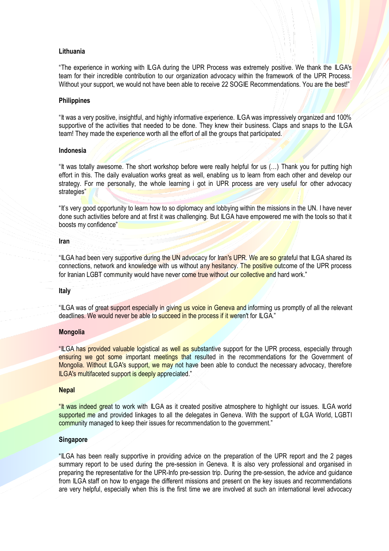## **Lithuania**

"The experience in working with ILGA during the UPR Process was extremely positive. We thank the ILGA's team for their incredible contribution to our organization advocacy within the framework of the UPR Process. Without your support, we would not have been able to receive 22 SOGIE Recommendations. You are the best!"

#### **Philippines**

"It was a very positive, insightful, and highly informative experience. ILGA was impressively organized and 100% supportive of the activities that needed to be done. They knew their business. Claps and snaps to the ILGA team! They made the experience worth all the effort of all the groups that participated.

### **Indonesia**

"It was totally awesome. The short workshop before were really helpful for us (…) Thank you for putting high effort in this. The daily evaluation works great as well, enabling us to learn from each other and develop our strategy. For me personally, the whole learning i got in UPR process are very useful for other advocacy strategies"

"It's very good opportunity to learn how to so diplomacy and lobbying within the missions in the UN. I have never done such activities before and at first it was challenging. But ILGA have empowered me with the tools so that it boosts my confidence"

#### **Iran**

"ILGA had been very supportive during the UN advocacy for Iran's UPR. We are so grateful that ILGA shared its connections, network and knowledge with us without any hesitancy. The positive outcome of the UPR process for Iranian LGBT community would have never come true without our collective and hard work."

#### **Italy**

"ILGA was of great support especially in giving us voice in Geneva and informing us promptly of all the relevant deadlines. We would never be able to succeed in the process if it weren't for ILGA."

# **Mongolia**

"ILGA has provided valuable logistical as well as substantive support for the UPR process, especially through ensuring we got some important meetings that resulted in the recommendations for the Government of Mongolia. Without ILGA's support, we may not have been able to conduct the necessary advocacy, therefore ILGA's multifaceted support is deeply appreciated."

#### **Nepal**

"It was indeed great to work with ILGA as it created positive atmosphere to highlight our issues. ILGA world supported me and provided linkages to all the delegates in Geneva. With the support of ILGA World, LGBTI community managed to keep their issues for recommendation to the government."

## **Singapore**

"ILGA has been really supportive in providing advice on the preparation of the UPR report and the 2 pages summary report to be used during the pre-session in Geneva. It is also very professional and organised in preparing the representative for the UPR-Info pre-session trip. During the pre-session, the advice and guidance from ILGA staff on how to engage the different missions and present on the key issues and recommendations are very helpful, especially when this is the first time we are involved at such an international level advocacy